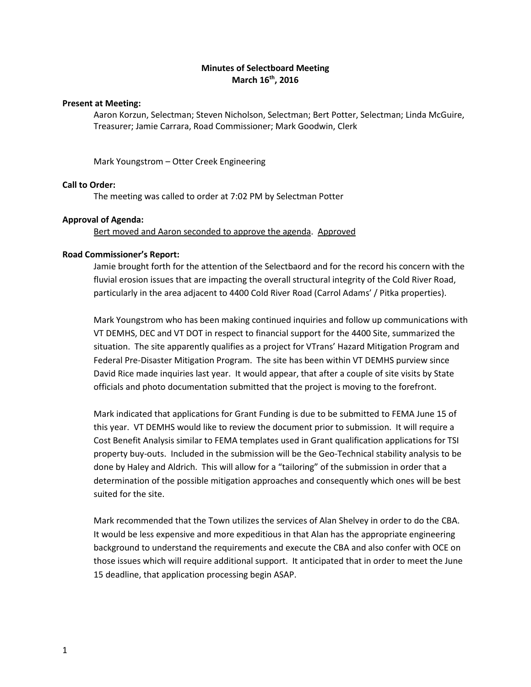## **Minutes of Selectboard Meeting March 16th, 2016**

### **Present at Meeting:**

Aaron Korzun, Selectman; Steven Nicholson, Selectman; Bert Potter, Selectman; Linda McGuire, Treasurer; Jamie Carrara, Road Commissioner; Mark Goodwin, Clerk

Mark Youngstrom – Otter Creek Engineering

### **Call to Order:**

The meeting was called to order at 7:02 PM by Selectman Potter

### **Approval of Agenda:**

Bert moved and Aaron seconded to approve the agenda. Approved

### **Road Commissioner's Report:**

Jamie brought forth for the attention of the Selectbaord and for the record his concern with the fluvial erosion issues that are impacting the overall structural integrity of the Cold River Road, particularly in the area adjacent to 4400 Cold River Road (Carrol Adams' / Pitka properties).

Mark Youngstrom who has been making continued inquiries and follow up communications with VT DEMHS, DEC and VT DOT in respect to financial support for the 4400 Site, summarized the situation. The site apparently qualifies as a project for VTrans' Hazard Mitigation Program and Federal Pre-Disaster Mitigation Program. The site has been within VT DEMHS purview since David Rice made inquiries last year. It would appear, that after a couple of site visits by State officials and photo documentation submitted that the project is moving to the forefront.

Mark indicated that applications for Grant Funding is due to be submitted to FEMA June 15 of this year. VT DEMHS would like to review the document prior to submission. It will require a Cost Benefit Analysis similar to FEMA templates used in Grant qualification applications for TSI property buy-outs. Included in the submission will be the Geo-Technical stability analysis to be done by Haley and Aldrich. This will allow for a "tailoring" of the submission in order that a determination of the possible mitigation approaches and consequently which ones will be best suited for the site.

Mark recommended that the Town utilizes the services of Alan Shelvey in order to do the CBA. It would be less expensive and more expeditious in that Alan has the appropriate engineering background to understand the requirements and execute the CBA and also confer with OCE on those issues which will require additional support. It anticipated that in order to meet the June 15 deadline, that application processing begin ASAP.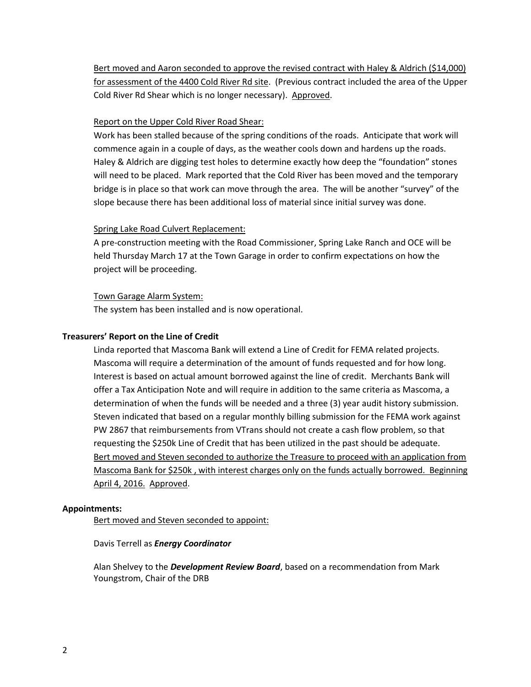Bert moved and Aaron seconded to approve the revised contract with Haley & Aldrich (\$14,000) for assessment of the 4400 Cold River Rd site. (Previous contract included the area of the Upper Cold River Rd Shear which is no longer necessary). Approved.

# Report on the Upper Cold River Road Shear:

Work has been stalled because of the spring conditions of the roads. Anticipate that work will commence again in a couple of days, as the weather cools down and hardens up the roads. Haley & Aldrich are digging test holes to determine exactly how deep the "foundation" stones will need to be placed. Mark reported that the Cold River has been moved and the temporary bridge is in place so that work can move through the area. The will be another "survey" of the slope because there has been additional loss of material since initial survey was done.

# Spring Lake Road Culvert Replacement:

A pre-construction meeting with the Road Commissioner, Spring Lake Ranch and OCE will be held Thursday March 17 at the Town Garage in order to confirm expectations on how the project will be proceeding.

# Town Garage Alarm System:

The system has been installed and is now operational.

# **Treasurers' Report on the Line of Credit**

Linda reported that Mascoma Bank will extend a Line of Credit for FEMA related projects. Mascoma will require a determination of the amount of funds requested and for how long. Interest is based on actual amount borrowed against the line of credit. Merchants Bank will offer a Tax Anticipation Note and will require in addition to the same criteria as Mascoma, a determination of when the funds will be needed and a three (3) year audit history submission. Steven indicated that based on a regular monthly billing submission for the FEMA work against PW 2867 that reimbursements from VTrans should not create a cash flow problem, so that requesting the \$250k Line of Credit that has been utilized in the past should be adequate. Bert moved and Steven seconded to authorize the Treasure to proceed with an application from Mascoma Bank for \$250k , with interest charges only on the funds actually borrowed. Beginning April 4, 2016. Approved.

## **Appointments:**

Bert moved and Steven seconded to appoint:

## Davis Terrell as *Energy Coordinator*

Alan Shelvey to the *Development Review Board*, based on a recommendation from Mark Youngstrom, Chair of the DRB